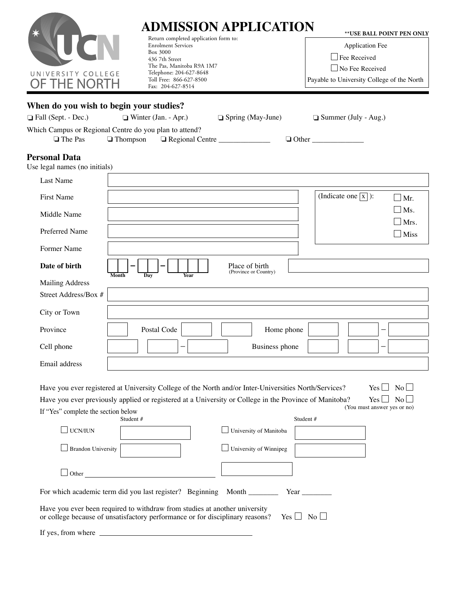| UNIVERSITY COLLEGE<br><b>F THE NORTH</b>                                           | Return completed application form to:<br><b>Enrolment Services</b><br>Box 3000<br>436 7th Street<br>The Pas, Manitoba R9A 1M7<br>Telephone: 204-627-8648<br>Toll Free: 866-627-8500<br>Fax: 204-627-8514                                     | ADMISSION APPLICATION                            |                    | Payable to University College of the North  | **USE BALL POINT PEN ONLY<br><b>Application Fee</b><br>Fee Received<br>No Fee Received |                               |
|------------------------------------------------------------------------------------|----------------------------------------------------------------------------------------------------------------------------------------------------------------------------------------------------------------------------------------------|--------------------------------------------------|--------------------|---------------------------------------------|----------------------------------------------------------------------------------------|-------------------------------|
| $\Box$ Fall (Sept. - Dec.)<br>□ The Pas                                            | When do you wish to begin your studies?<br>$\Box$ Winter (Jan. - Apr.)<br>Which Campus or Regional Centre do you plan to attend?<br>$\Box$ Thompson                                                                                          | $\Box$ Spring (May-June)<br>Regional Centre      |                    | $\Box$ Summer (July - Aug.)<br>$\Box$ Other |                                                                                        |                               |
| <b>Personal Data</b><br>Use legal names (no initials)                              |                                                                                                                                                                                                                                              |                                                  |                    |                                             |                                                                                        |                               |
| Last Name                                                                          |                                                                                                                                                                                                                                              |                                                  |                    |                                             |                                                                                        |                               |
| <b>First Name</b>                                                                  |                                                                                                                                                                                                                                              |                                                  |                    | (Indicate one $\boxed{x}$ ):                |                                                                                        | Mr.                           |
| Middle Name                                                                        |                                                                                                                                                                                                                                              |                                                  |                    |                                             |                                                                                        | $\perp$ Ms.<br>$\exists$ Mrs. |
| Preferred Name                                                                     |                                                                                                                                                                                                                                              |                                                  |                    |                                             |                                                                                        | $\Box$ Miss                   |
| Former Name                                                                        |                                                                                                                                                                                                                                              |                                                  |                    |                                             |                                                                                        |                               |
| Date of birth                                                                      |                                                                                                                                                                                                                                              | Place of birth<br>(Province or Country)          |                    |                                             |                                                                                        |                               |
| <b>Mailing Address</b><br>Street Address/Box #<br>City or Town                     | Month<br>Day<br>Year                                                                                                                                                                                                                         |                                                  |                    |                                             |                                                                                        |                               |
| Province                                                                           | Postal Code                                                                                                                                                                                                                                  |                                                  | Home phone         |                                             |                                                                                        |                               |
| Cell phone                                                                         |                                                                                                                                                                                                                                              |                                                  | Business phone     |                                             |                                                                                        |                               |
| Email address                                                                      |                                                                                                                                                                                                                                              |                                                  |                    |                                             |                                                                                        |                               |
| If "Yes" complete the section below<br>$\Box$ UCN/IUN<br><b>Brandon University</b> | Have you ever registered at University College of the North and/or Inter-Universities North/Services?<br>Have you ever previously applied or registered at a University or College in the Province of Manitoba?<br>Student #<br>$\Box$ Other | University of Manitoba<br>University of Winnipeg | Student #          |                                             | $Yes \Box No \Box$<br>$Yes \Box$<br>(You must answer yes or no)                        | No l                          |
|                                                                                    | For which academic term did you last register? Beginning Month ________                                                                                                                                                                      |                                                  |                    | Year $\frac{1}{\sqrt{2}}$                   |                                                                                        |                               |
|                                                                                    | Have you ever been required to withdraw from studies at another university<br>or college because of unsatisfactory performance or for disciplinary reasons?                                                                                  |                                                  | $Yes \Box No \Box$ |                                             |                                                                                        |                               |
|                                                                                    |                                                                                                                                                                                                                                              |                                                  |                    |                                             |                                                                                        |                               |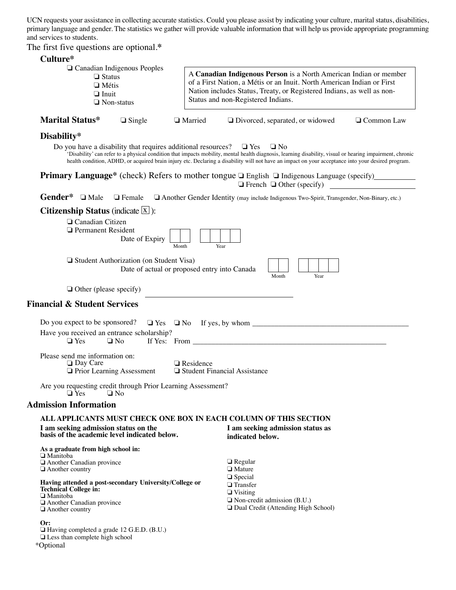UCN requests your assistance in collecting accurate statistics. Could you please assist by indicating your culture, marital status, disabilities, primary language and gender. The statistics we gather will provide valuable information that will help us provide appropriate programming and services to students.

The first five questions are optional.**\***

### **Cult**

| Culture*                                                                                                 |                |                                                                                                                                                                                                                                                                                                                                                                                                      |  |  |  |  |
|----------------------------------------------------------------------------------------------------------|----------------|------------------------------------------------------------------------------------------------------------------------------------------------------------------------------------------------------------------------------------------------------------------------------------------------------------------------------------------------------------------------------------------------------|--|--|--|--|
| $\Box$ Canadian Indigenous Peoples<br>$\Box$ Status<br>$\Box$ Métis<br>$\Box$ Inuit<br>$\Box$ Non-status |                | A Canadian Indigenous Person is a North American Indian or member<br>of a First Nation, a Métis or an Inuit. North American Indian or First<br>Nation includes Status, Treaty, or Registered Indians, as well as non-<br>Status and non-Registered Indians.                                                                                                                                          |  |  |  |  |
| <b>Marital Status*</b>                                                                                   | $\Box$ Single  | $\Box$ Married<br>$\Box$ Common Law<br>$\Box$ Divorced, separated, or widowed                                                                                                                                                                                                                                                                                                                        |  |  |  |  |
| Disability*                                                                                              |                |                                                                                                                                                                                                                                                                                                                                                                                                      |  |  |  |  |
|                                                                                                          |                | Do you have a disability that requires additional resources? $\Box$ Yes $\Box$ No<br>'Disability' can refer to a physical condition that impacts mobility, mental health diagnosis, learning disability, visual or hearing impairment, chronic<br>health condition, ADHD, or acquired brain injury etc. Declaring a disability will not have an impact on your acceptance into your desired program. |  |  |  |  |
|                                                                                                          |                | <b>Primary Language*</b> (check) Refers to mother tongue $\Box$ English $\Box$ Indigenous Language (specify)<br>$\Box$ French $\Box$ Other (specify)                                                                                                                                                                                                                                                 |  |  |  |  |
| Gender <sup>*</sup> □ Male                                                                               | $\Box$ Female  | Another Gender Identity (may include Indigenous Two-Spirit, Transgender, Non-Binary, etc.)                                                                                                                                                                                                                                                                                                           |  |  |  |  |
| <b>Citizenship Status</b> (indicate $ \mathbf{X} $ ):                                                    |                |                                                                                                                                                                                                                                                                                                                                                                                                      |  |  |  |  |
| □ Canadian Citizen<br>$\Box$ Permanent Resident                                                          | Date of Expiry | Month<br>Year                                                                                                                                                                                                                                                                                                                                                                                        |  |  |  |  |

❏ Student Authorization (on Student Visa) Date of actual or proposed entry into Canada

| Month |  |  | Year |  |
|-------|--|--|------|--|

❏ Other (please specify)

## **Financial & Student Services**

| Have you received an entrance scholarship?<br>$\Box$ No<br>$\Box$ Yes                     | If Yes: From $\frac{1}{\sqrt{1-\frac{1}{2}}\sqrt{1-\frac{1}{2}}\sqrt{1-\frac{1}{2}}\sqrt{1-\frac{1}{2}}\sqrt{1-\frac{1}{2}}\sqrt{1-\frac{1}{2}}\sqrt{1-\frac{1}{2}}\sqrt{1-\frac{1}{2}}\sqrt{1-\frac{1}{2}}\sqrt{1-\frac{1}{2}}\sqrt{1-\frac{1}{2}}\sqrt{1-\frac{1}{2}}\sqrt{1-\frac{1}{2}}\sqrt{1-\frac{1}{2}}\sqrt{1-\frac{1}{2}}\sqrt{1-\frac{1}{2}}\sqrt{1-\frac{1}{2}}\sqrt{1-\frac{1}{2}}\sqrt{1$ |
|-------------------------------------------------------------------------------------------|---------------------------------------------------------------------------------------------------------------------------------------------------------------------------------------------------------------------------------------------------------------------------------------------------------------------------------------------------------------------------------------------------------|
|                                                                                           |                                                                                                                                                                                                                                                                                                                                                                                                         |
| Please send me information on:<br>$\Box$ Day Care                                         | $\Box$ Residence                                                                                                                                                                                                                                                                                                                                                                                        |
| $\Box$ Prior Learning Assessment                                                          | □ Student Financial Assistance                                                                                                                                                                                                                                                                                                                                                                          |
|                                                                                           |                                                                                                                                                                                                                                                                                                                                                                                                         |
| Are you requesting credit through Prior Learning Assessment?<br>$\Box$ No<br>$\Box$ Yes   |                                                                                                                                                                                                                                                                                                                                                                                                         |
| <b>Admission Information</b>                                                              |                                                                                                                                                                                                                                                                                                                                                                                                         |
|                                                                                           |                                                                                                                                                                                                                                                                                                                                                                                                         |
|                                                                                           | ALL APPLICANTS MUST CHECK ONE BOX IN EACH COLUMN OF THIS SECTION                                                                                                                                                                                                                                                                                                                                        |
| I am seeking admission status on the<br>basis of the academic level indicated below.      | I am seeking admission status as<br>indicated below.                                                                                                                                                                                                                                                                                                                                                    |
| As a graduate from high school in:<br>$\Box$ Manitoba                                     |                                                                                                                                                                                                                                                                                                                                                                                                         |
| Another Canadian province                                                                 | $\Box$ Regular                                                                                                                                                                                                                                                                                                                                                                                          |
| $\Box$ Another country                                                                    | $\Box$ Mature<br>$\Box$ Special                                                                                                                                                                                                                                                                                                                                                                         |
| Having attended a post-secondary University/College or                                    | $\Box$ Transfer                                                                                                                                                                                                                                                                                                                                                                                         |
| <b>Technical College in:</b><br>$\Box$ Manitoba                                           | $\Box$ Visiting                                                                                                                                                                                                                                                                                                                                                                                         |
| Another Canadian province                                                                 | $\Box$ Non-credit admission (B.U.)                                                                                                                                                                                                                                                                                                                                                                      |
| $\Box$ Another country                                                                    | □ Dual Credit (Attending High School)                                                                                                                                                                                                                                                                                                                                                                   |
| Or:                                                                                       |                                                                                                                                                                                                                                                                                                                                                                                                         |
| $\Box$ Having completed a grade 12 G.E.D. (B.U.)<br>$\Box$ Less than complete high school |                                                                                                                                                                                                                                                                                                                                                                                                         |
| *Optional                                                                                 |                                                                                                                                                                                                                                                                                                                                                                                                         |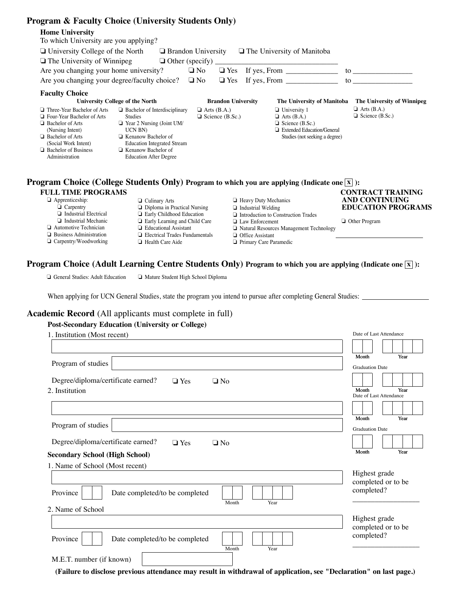# **Program & Faculty Choice (University Students Only)**

Province

M.E.T. number (if known)

Date completed/to be completed

| $\Box$ University College of the North                                                                                                                                           | To which University are you applying?                                                                                                |                                                          |           |                                                 |                               |                                                                                                                 |                                                                             |
|----------------------------------------------------------------------------------------------------------------------------------------------------------------------------------|--------------------------------------------------------------------------------------------------------------------------------------|----------------------------------------------------------|-----------|-------------------------------------------------|-------------------------------|-----------------------------------------------------------------------------------------------------------------|-----------------------------------------------------------------------------|
|                                                                                                                                                                                  |                                                                                                                                      |                                                          |           |                                                 |                               | $\Box$ Brandon University $\Box$ The University of Manitoba                                                     |                                                                             |
| $\Box$ The University of Winnipeg                                                                                                                                                |                                                                                                                                      |                                                          |           |                                                 |                               |                                                                                                                 |                                                                             |
| Are you changing your home university?                                                                                                                                           |                                                                                                                                      |                                                          | $\Box$ No |                                                 |                               |                                                                                                                 |                                                                             |
| Are you changing your degree/faculty choice? $\Box$ No                                                                                                                           |                                                                                                                                      |                                                          |           | $\Box$ Yes                                      |                               | If yes, From $\frac{1}{\sqrt{1-\frac{1}{2}}\sqrt{1-\frac{1}{2}}\sqrt{1-\frac{1}{2}}\sqrt{1-\frac{1}{2}}}}$      |                                                                             |
| <b>Faculty Choice</b>                                                                                                                                                            |                                                                                                                                      |                                                          |           |                                                 |                               |                                                                                                                 |                                                                             |
| Three-Year Bachelor of Arts                                                                                                                                                      | <b>University College of the North</b><br>$\Box$ Bachelor of Interdisciplinary                                                       |                                                          |           | <b>Brandon University</b><br>$\Box$ Arts (B.A.) |                               | $\Box$ University 1                                                                                             | The University of Manitoba The University of Winnipeg<br>$\Box$ Arts (B.A.) |
| <b>Example 3</b> Four-Year Bachelor of Arts<br>$\Box$ Bachelor of Arts<br>(Nursing Intent)<br>Bachelor of Arts<br>(Social Work Intent)<br>Bachelor of Business<br>Administration | Studies<br>T Year 2 Nursing (Joint UM/<br>UCN BN)<br>□ Kenanow Bachelor of<br>□ Kenanow Bachelor of<br><b>Education After Degree</b> | <b>Education Integrated Stream</b>                       |           | $\Box$ Science (B.Sc.)                          |                               | $\Box$ Arts (B.A.)<br>$\Box$ Science (B.Sc.)<br>Extended Education/General<br>Studies (not seeking a degree)    | $\Box$ Science (B.Sc.)                                                      |
| <b>FULL TIME PROGRAMS</b>                                                                                                                                                        |                                                                                                                                      |                                                          |           |                                                 |                               | Program Choice (College Students Only) Program to which you are applying (Indicate one $\boxed{\mathrm{x}}$ ):  | <b>CONTRACT TRAINING</b>                                                    |
| Apprenticeship:                                                                                                                                                                  |                                                                                                                                      | <b>Q</b> Culinary Arts                                   |           |                                                 | Heavy Duty Mechanics          |                                                                                                                 | <b>AND CONTINUING</b>                                                       |
| $\Box$ Carpentry                                                                                                                                                                 |                                                                                                                                      | Diploma in Practical Nursing                             |           |                                                 | $\Box$ Industrial Welding     |                                                                                                                 | <b>EDUCATION PROGRAMS</b>                                                   |
| Industrial Electrical                                                                                                                                                            |                                                                                                                                      | Early Childhood Education                                |           |                                                 |                               | $\hfill\Box$<br>Introduction to Construction Trades                                                             |                                                                             |
| Industrial Mechanic<br>Automotive Technician                                                                                                                                     |                                                                                                                                      | Early Learning and Child Care<br>□ Educational Assistant |           |                                                 | □ Law Enforcement             |                                                                                                                 | Other Program                                                               |
| <b>Business Administration</b>                                                                                                                                                   |                                                                                                                                      | $\Box$ Electrical Trades Fundamentals                    |           |                                                 | <b>Q</b> Office Assistant     | □ Natural Resources Management Technology                                                                       |                                                                             |
| $\Box$ Carpentry/Woodworking                                                                                                                                                     |                                                                                                                                      | $\Box$ Health Care Aide                                  |           |                                                 | <b>Primary Care Paramedic</b> |                                                                                                                 |                                                                             |
|                                                                                                                                                                                  |                                                                                                                                      |                                                          |           |                                                 |                               | When applying for UCN General Studies, state the program you intend to pursue after completing General Studies: |                                                                             |
| <b>Post-Secondary Education (University or College)</b>                                                                                                                          | <b>Academic Record</b> (All applicants must complete in full)                                                                        |                                                          |           |                                                 |                               |                                                                                                                 |                                                                             |
| 1. Institution (Most recent)                                                                                                                                                     |                                                                                                                                      |                                                          |           |                                                 |                               |                                                                                                                 | Date of Last Attendance                                                     |
|                                                                                                                                                                                  |                                                                                                                                      |                                                          |           |                                                 |                               |                                                                                                                 | Month<br>Year                                                               |
| Program of studies                                                                                                                                                               |                                                                                                                                      |                                                          |           |                                                 |                               |                                                                                                                 | <b>Graduation Date</b>                                                      |
|                                                                                                                                                                                  |                                                                                                                                      |                                                          |           |                                                 |                               |                                                                                                                 |                                                                             |
| Degree/diploma/certificate earned?                                                                                                                                               |                                                                                                                                      | $\Box$ Yes                                               |           | $\Box$ No                                       |                               |                                                                                                                 | Year                                                                        |
| 2. Institution                                                                                                                                                                   |                                                                                                                                      |                                                          |           |                                                 |                               |                                                                                                                 | Month<br>Date of Last Attendance                                            |
|                                                                                                                                                                                  |                                                                                                                                      |                                                          |           |                                                 |                               |                                                                                                                 |                                                                             |
| Program of studies                                                                                                                                                               |                                                                                                                                      |                                                          |           |                                                 |                               |                                                                                                                 | Month<br>Year                                                               |
|                                                                                                                                                                                  |                                                                                                                                      |                                                          |           |                                                 |                               |                                                                                                                 | <b>Graduation Date</b>                                                      |
| Degree/diploma/certificate earned?                                                                                                                                               |                                                                                                                                      | $\Box$ Yes                                               |           | $\Box$ No                                       |                               |                                                                                                                 |                                                                             |
| <b>Secondary School (High School)</b>                                                                                                                                            |                                                                                                                                      |                                                          |           |                                                 |                               |                                                                                                                 | Month<br>Year                                                               |
| 1. Name of School (Most recent)                                                                                                                                                  |                                                                                                                                      |                                                          |           |                                                 |                               |                                                                                                                 |                                                                             |
|                                                                                                                                                                                  |                                                                                                                                      |                                                          |           |                                                 |                               |                                                                                                                 | Highest grade                                                               |
|                                                                                                                                                                                  |                                                                                                                                      |                                                          |           |                                                 |                               |                                                                                                                 | completed or to be                                                          |
| Province                                                                                                                                                                         | Date completed/to be completed                                                                                                       |                                                          |           |                                                 |                               |                                                                                                                 | completed?                                                                  |
|                                                                                                                                                                                  |                                                                                                                                      |                                                          |           | Month                                           |                               | Year                                                                                                            |                                                                             |
| 2. Name of School                                                                                                                                                                |                                                                                                                                      |                                                          |           |                                                 |                               |                                                                                                                 |                                                                             |
|                                                                                                                                                                                  |                                                                                                                                      |                                                          |           |                                                 |                               |                                                                                                                 | Highest grade<br>completed or to be                                         |

**(Failure to disclose previous attendance may result in withdrawal of application, see "Declaration" on last page.)**

Month Year

\_\_\_\_\_\_\_\_\_\_\_\_\_\_\_\_\_\_